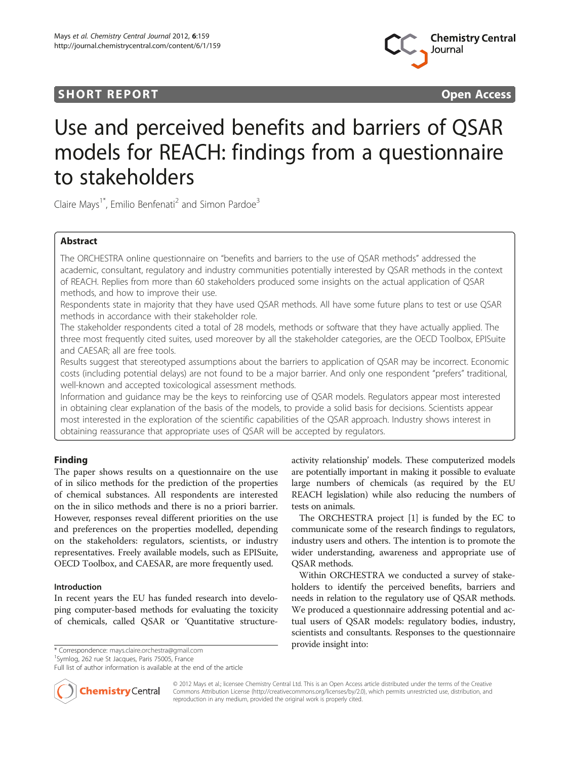# **SHORT REPORT SHORT CONSUMING THE CONSUMING THE CONSUMING THE CONSUMING THE CONSUMING THE CONSUMING THE CONSUMING THE CONSUMING THE CONSUMING THE CONSUMING THE CONSUMING THE CONSUMING THE CONSUMING THE CONSUMING THE CONS**



# Use and perceived benefits and barriers of QSAR models for REACH: findings from a questionnaire to stakeholders

Claire Mays<sup>1\*</sup>, Emilio Benfenati<sup>2</sup> and Simon Pardoe<sup>3</sup>

# Abstract

The ORCHESTRA online questionnaire on "benefits and barriers to the use of QSAR methods" addressed the academic, consultant, regulatory and industry communities potentially interested by QSAR methods in the context of REACH. Replies from more than 60 stakeholders produced some insights on the actual application of QSAR methods, and how to improve their use.

Respondents state in majority that they have used QSAR methods. All have some future plans to test or use QSAR methods in accordance with their stakeholder role.

The stakeholder respondents cited a total of 28 models, methods or software that they have actually applied. The three most frequently cited suites, used moreover by all the stakeholder categories, are the OECD Toolbox, EPISuite and CAESAR; all are free tools.

Results suggest that stereotyped assumptions about the barriers to application of QSAR may be incorrect. Economic costs (including potential delays) are not found to be a major barrier. And only one respondent "prefers" traditional, well-known and accepted toxicological assessment methods.

Information and guidance may be the keys to reinforcing use of QSAR models. Regulators appear most interested in obtaining clear explanation of the basis of the models, to provide a solid basis for decisions. Scientists appear most interested in the exploration of the scientific capabilities of the QSAR approach. Industry shows interest in obtaining reassurance that appropriate uses of QSAR will be accepted by regulators.

# Finding

The paper shows results on a questionnaire on the use of in silico methods for the prediction of the properties of chemical substances. All respondents are interested on the in silico methods and there is no a priori barrier. However, responses reveal different priorities on the use and preferences on the properties modelled, depending on the stakeholders: regulators, scientists, or industry representatives. Freely available models, such as EPISuite, OECD Toolbox, and CAESAR, are more frequently used.

# Introduction

In recent years the EU has funded research into developing computer-based methods for evaluating the toxicity of chemicals, called QSAR or 'Quantitative structure-

provide insight into: \* Correspondence: [mays.claire.orchestra@gmail.com](mailto:mays.claire.orchestra@gmail.com) <sup>1</sup>

<sup>1</sup>Symlog, 262 rue St Jacques, Paris 75005, France

Full list of author information is available at the end of the article

activity relationship' models. These computerized models are potentially important in making it possible to evaluate large numbers of chemicals (as required by the EU REACH legislation) while also reducing the numbers of tests on animals.

The ORCHESTRA project [[1](#page-8-0)] is funded by the EC to communicate some of the research findings to regulators, industry users and others. The intention is to promote the wider understanding, awareness and appropriate use of QSAR methods.

Within ORCHESTRA we conducted a survey of stakeholders to identify the perceived benefits, barriers and needs in relation to the regulatory use of QSAR methods. We produced a questionnaire addressing potential and actual users of QSAR models: regulatory bodies, industry, scientists and consultants. Responses to the questionnaire



© 2012 Mays et al.; licensee Chemistry Central Ltd. This is an Open Access article distributed under the terms of the Creative Commons Attribution License (<http://creativecommons.org/licenses/by/2.0>), which permits unrestricted use, distribution, and reproduction in any medium, provided the original work is properly cited.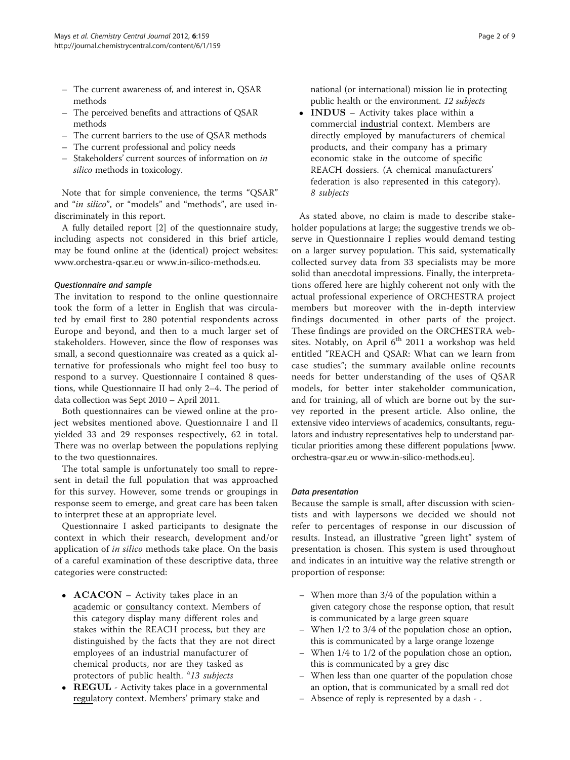- The current awareness of, and interest in, QSAR methods
- The perceived benefits and attractions of QSAR methods
- The current barriers to the use of QSAR methods
- The current professional and policy needs
- Stakeholders' current sources of information on in silico methods in toxicology.

Note that for simple convenience, the terms "QSAR" and "in silico", or "models" and "methods", are used indiscriminately in this report.

A fully detailed report [[2\]](#page-8-0) of the questionnaire study, including aspects not considered in this brief article, may be found online at the (identical) project websites: [www.orchestra-qsar.eu](http://www.orchestra-qsar.eu) or [www.in-silico-methods.eu](http://www.in-silico-methods.eu).

#### Questionnaire and sample

The invitation to respond to the online questionnaire took the form of a letter in English that was circulated by email first to 280 potential respondents across Europe and beyond, and then to a much larger set of stakeholders. However, since the flow of responses was small, a second questionnaire was created as a quick alternative for professionals who might feel too busy to respond to a survey. Questionnaire I contained 8 questions, while Questionnaire II had only 2–4. The period of data collection was Sept 2010 – April 2011.

Both questionnaires can be viewed online at the project websites mentioned above. Questionnaire I and II yielded 33 and 29 responses respectively, 62 in total. There was no overlap between the populations replying to the two questionnaires.

The total sample is unfortunately too small to represent in detail the full population that was approached for this survey. However, some trends or groupings in response seem to emerge, and great care has been taken to interpret these at an appropriate level.

Questionnaire I asked participants to designate the context in which their research, development and/or application of *in silico* methods take place. On the basis of a careful examination of these descriptive data, three categories were constructed:

- ACACON Activity takes place in an academic or consultancy context. Members of this category display many different roles and stakes within the REACH process, but they are distinguished by the facts that they are not direct employees of an industrial manufacturer of chemical products, nor are they tasked as protectors of public health. <sup>a</sup>13 subjects
- REGUL Activity takes place in a governmental regulatory context. Members' primary stake and

national (or international) mission lie in protecting public health or the environment. 12 subjects

• **INDUS** – Activity takes place within a commercial industrial context. Members are directly employed by manufacturers of chemical products, and their company has a primary economic stake in the outcome of specific REACH dossiers. (A chemical manufacturers' federation is also represented in this category). 8 subjects

As stated above, no claim is made to describe stakeholder populations at large; the suggestive trends we observe in Questionnaire I replies would demand testing on a larger survey population. This said, systematically collected survey data from 33 specialists may be more solid than anecdotal impressions. Finally, the interpretations offered here are highly coherent not only with the actual professional experience of ORCHESTRA project members but moreover with the in-depth interview findings documented in other parts of the project. These findings are provided on the ORCHESTRA websites. Notably, on April  $6<sup>th</sup>$  2011 a workshop was held entitled "REACH and QSAR: What can we learn from case studies"; the summary available online recounts needs for better understanding of the uses of QSAR models, for better inter stakeholder communication, and for training, all of which are borne out by the survey reported in the present article. Also online, the extensive video interviews of academics, consultants, regulators and industry representatives help to understand particular priorities among these different populations [\[www.](http://www.orchestra-qsar.eu) [orchestra-qsar.eu](http://www.orchestra-qsar.eu) or [www.in-silico-methods.eu\]](http://www.in-silico-methods.eu).

#### Data presentation

Because the sample is small, after discussion with scientists and with laypersons we decided we should not refer to percentages of response in our discussion of results. Instead, an illustrative "green light" system of presentation is chosen. This system is used throughout and indicates in an intuitive way the relative strength or proportion of response:

- When more than 3/4 of the population within a given category chose the response option, that result is communicated by a large green square
- When 1/2 to 3/4 of the population chose an option, this is communicated by a large orange lozenge
- When 1/4 to 1/2 of the population chose an option, this is communicated by a grey disc
- When less than one quarter of the population chose an option, that is communicated by a small red dot
- Absence of reply is represented by a dash .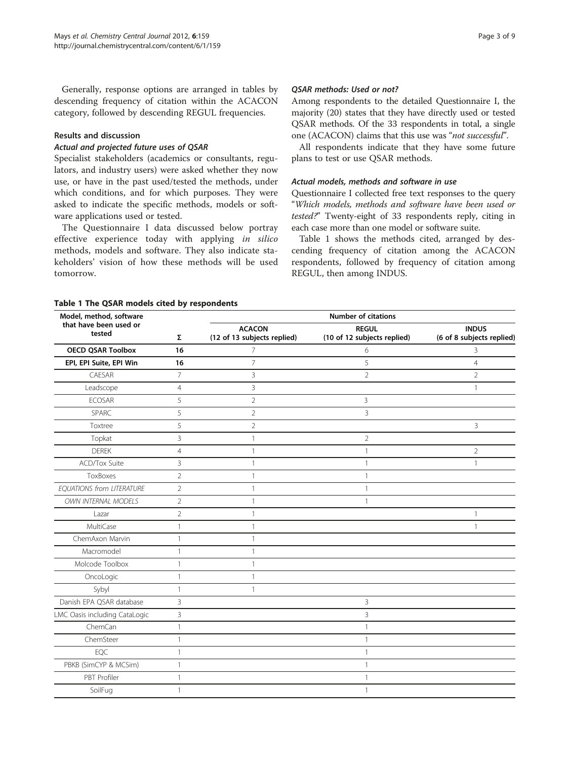Generally, response options are arranged in tables by descending frequency of citation within the ACACON category, followed by descending REGUL frequencies.

## Results and discussion

# Actual and projected future uses of QSAR

Specialist stakeholders (academics or consultants, regulators, and industry users) were asked whether they now use, or have in the past used/tested the methods, under which conditions, and for which purposes. They were asked to indicate the specific methods, models or software applications used or tested.

The Questionnaire I data discussed below portray effective experience today with applying in silico methods, models and software. They also indicate stakeholders' vision of how these methods will be used tomorrow.

#### QSAR methods: Used or not?

Among respondents to the detailed Questionnaire I, the majority (20) states that they have directly used or tested QSAR methods. Of the 33 respondents in total, a single one (ACACON) claims that this use was "not successful".

All respondents indicate that they have some future plans to test or use QSAR methods.

#### Actual models, methods and software in use

Questionnaire I collected free text responses to the query "Which models, methods and software have been used or tested?" Twenty-eight of 33 respondents reply, citing in each case more than one model or software suite.

Table 1 shows the methods cited, arranged by descending frequency of citation among the ACACON respondents, followed by frequency of citation among REGUL, then among INDUS.

#### Table 1 The QSAR models cited by respondents

| Model, method, software          |                |                                              | <b>Number of citations</b>                  |                                           |
|----------------------------------|----------------|----------------------------------------------|---------------------------------------------|-------------------------------------------|
| that have been used or<br>tested | Σ              | <b>ACACON</b><br>(12 of 13 subjects replied) | <b>REGUL</b><br>(10 of 12 subjects replied) | <b>INDUS</b><br>(6 of 8 subjects replied) |
| <b>OECD QSAR Toolbox</b>         | 16             | 7                                            | 6                                           | 3                                         |
| EPI, EPI Suite, EPI Win          | 16             | 7                                            | 5                                           | $\overline{4}$                            |
| CAESAR                           | 7              | 3                                            | $\overline{2}$                              | 2                                         |
| Leadscope                        | $\overline{4}$ | 3                                            |                                             | $\mathbf{1}$                              |
| <b>ECOSAR</b>                    | 5              | $\overline{2}$                               | 3                                           |                                           |
| SPARC                            | 5              | $\overline{2}$                               | $\overline{3}$                              |                                           |
| Toxtree                          | 5              | $\mathbf 2$                                  |                                             | 3                                         |
| Topkat                           | $\overline{3}$ | $\mathbf{1}$                                 | $\overline{2}$                              |                                           |
| <b>DEREK</b>                     | $\overline{4}$ | $\mathbf{1}$                                 | $\mathbf{1}$                                | $\overline{2}$                            |
| ACD/Tox Suite                    | 3              | $\mathbf{1}$                                 | $\mathbf{1}$                                | $\mathbf{1}$                              |
| ToxBoxes                         | $\overline{2}$ | $\mathbf{1}$                                 | $\mathbf{1}$                                |                                           |
| EOUATIONS from LITERATURE        | $\overline{2}$ | $\mathbf{1}$                                 | $\mathbf{1}$                                |                                           |
| OWN INTERNAL MODELS              | $\overline{2}$ | $\mathbf{1}$                                 | $\mathbf{1}$                                |                                           |
| Lazar                            | $\overline{2}$ | $\mathbf{1}$                                 |                                             | 1                                         |
| MultiCase                        | $\mathbf{1}$   | 1                                            |                                             | $\mathbf{1}$                              |
| ChemAxon Marvin                  | $\mathbf{1}$   | $\mathbf{1}$                                 |                                             |                                           |
| Macromodel                       | $\mathbf{1}$   | $\mathbf{1}$                                 |                                             |                                           |
| Molcode Toolbox                  | $\mathbf{1}$   | $\mathbf{1}$                                 |                                             |                                           |
| OncoLogic                        | $\mathbf{1}$   | $\mathbf{1}$                                 |                                             |                                           |
| Sybyl                            | $\mathbf{1}$   | 1                                            |                                             |                                           |
| Danish EPA QSAR database         | $\overline{3}$ |                                              | 3                                           |                                           |
| LMC Oasis including CataLogic    | 3              |                                              | $\overline{3}$                              |                                           |
| ChemCan                          | $\mathbf{1}$   |                                              | $\mathbf{1}$                                |                                           |
| ChemSteer                        | $\mathbf{1}$   |                                              | $\mathbf{1}$                                |                                           |
| EQC                              | $\mathbf{1}$   |                                              | $\overline{1}$                              |                                           |
| PBKB (SimCYP & MCSim)            | $\mathbf{1}$   |                                              | $\mathbf{1}$                                |                                           |
| PBT Profiler                     | $\mathbf{1}$   |                                              | $\mathbf{1}$                                |                                           |
| SoilFug                          | 1              |                                              | $\mathbf{1}$                                |                                           |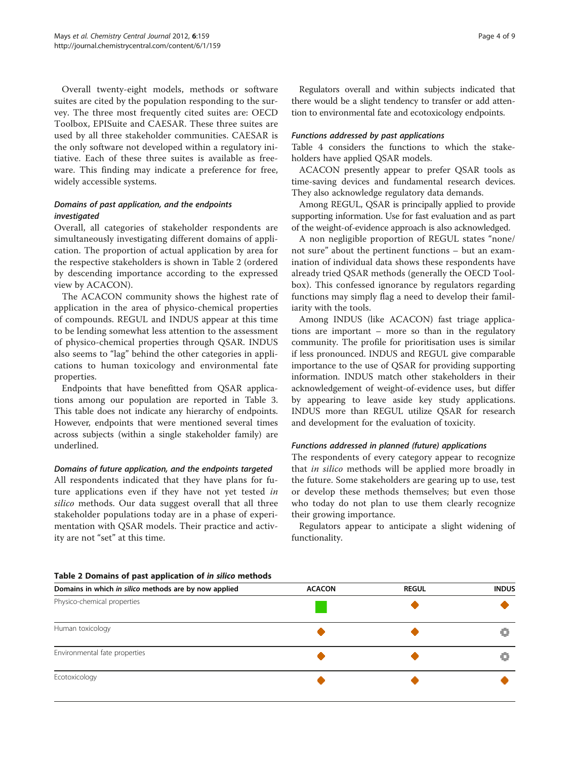Overall twenty-eight models, methods or software suites are cited by the population responding to the survey. The three most frequently cited suites are: OECD Toolbox, EPISuite and CAESAR. These three suites are used by all three stakeholder communities. CAESAR is the only software not developed within a regulatory initiative. Each of these three suites is available as freeware. This finding may indicate a preference for free, widely accessible systems.

# Domains of past application, and the endpoints investigated

Overall, all categories of stakeholder respondents are simultaneously investigating different domains of application. The proportion of actual application by area for the respective stakeholders is shown in Table 2 (ordered by descending importance according to the expressed view by ACACON).

The ACACON community shows the highest rate of application in the area of physico-chemical properties of compounds. REGUL and INDUS appear at this time to be lending somewhat less attention to the assessment of physico-chemical properties through QSAR. INDUS also seems to "lag" behind the other categories in applications to human toxicology and environmental fate properties.

Endpoints that have benefitted from QSAR applications among our population are reported in Table [3](#page-4-0). This table does not indicate any hierarchy of endpoints. However, endpoints that were mentioned several times across subjects (within a single stakeholder family) are underlined.

# Domains of future application, and the endpoints targeted

All respondents indicated that they have plans for future applications even if they have not yet tested in silico methods. Our data suggest overall that all three stakeholder populations today are in a phase of experimentation with QSAR models. Their practice and activity are not "set" at this time.

Among INDUS (like ACACON) fast triage applications are important – more so than in the regulatory community. The profile for prioritisation uses is similar if less pronounced. INDUS and REGUL give comparable importance to the use of QSAR for providing supporting information. INDUS match other stakeholders in their acknowledgement of weight-of-evidence uses, but differ by appearing to leave aside key study applications. INDUS more than REGUL utilize QSAR for research and development for the evaluation of toxicity.

# Functions addressed in planned (future) applications

The respondents of every category appear to recognize that *in silico* methods will be applied more broadly in the future. Some stakeholders are gearing up to use, test or develop these methods themselves; but even those who today do not plan to use them clearly recognize their growing importance.

Regulators appear to anticipate a slight widening of functionality.

# Table 2 Domains of past application of in silico methods

| Domains in which in silico methods are by now applied | <b>ACACON</b> | <b>REGUL</b> | <b>INDUS</b> |
|-------------------------------------------------------|---------------|--------------|--------------|
| Physico-chemical properties                           |               |              |              |
| Human toxicology                                      |               |              |              |
| Environmental fate properties                         |               |              |              |
| Ecotoxicology                                         |               |              |              |

Regulators overall and within subjects indicated that there would be a slight tendency to transfer or add attention to environmental fate and ecotoxicology endpoints.

#### Functions addressed by past applications

Table [4](#page-4-0) considers the functions to which the stakeholders have applied QSAR models.

ACACON presently appear to prefer QSAR tools as time-saving devices and fundamental research devices. They also acknowledge regulatory data demands.

Among REGUL, QSAR is principally applied to provide supporting information. Use for fast evaluation and as part of the weight-of-evidence approach is also acknowledged.

A non negligible proportion of REGUL states "none/ not sure" about the pertinent functions – but an examination of individual data shows these respondents have already tried QSAR methods (generally the OECD Toolbox). This confessed ignorance by regulators regarding functions may simply flag a need to develop their familiarity with the tools.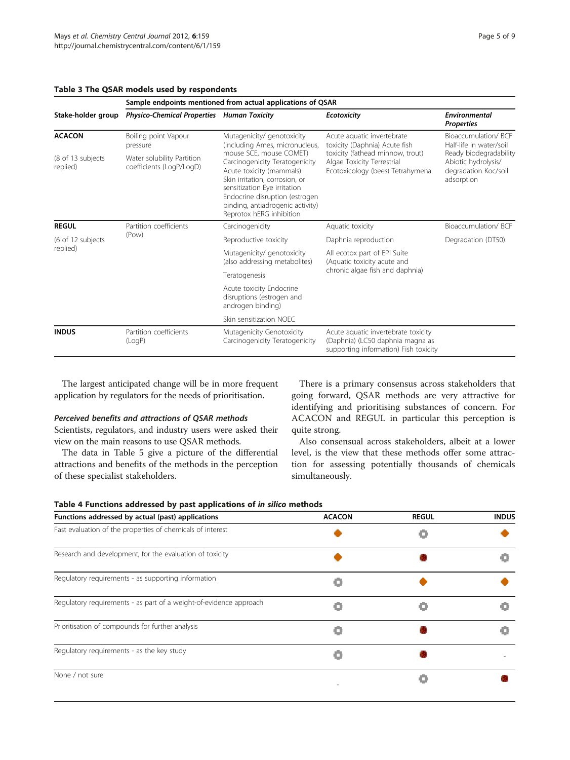<span id="page-4-0"></span>

|  |  |  |  |  |  | Table 3 The QSAR models used by respondents |
|--|--|--|--|--|--|---------------------------------------------|
|--|--|--|--|--|--|---------------------------------------------|

|                               | Sample endpoints mentioned from actual applications of QSAR |                                                                                                                                                                                                                                                           |                                                                                                                  |                                                                                     |  |  |  |
|-------------------------------|-------------------------------------------------------------|-----------------------------------------------------------------------------------------------------------------------------------------------------------------------------------------------------------------------------------------------------------|------------------------------------------------------------------------------------------------------------------|-------------------------------------------------------------------------------------|--|--|--|
| Stake-holder group            | Physico-Chemical Properties Human Toxicity                  |                                                                                                                                                                                                                                                           | <b>Ecotoxicity</b>                                                                                               | Environmental<br><b>Properties</b>                                                  |  |  |  |
| <b>ACACON</b>                 | Boiling point Vapour<br>pressure                            | Mutagenicity/ genotoxicity<br>(including Ames, micronucleus,                                                                                                                                                                                              | Acute aquatic invertebrate<br>toxicity (Daphnia) Acute fish                                                      | Bioaccumulation/BCF<br>Half-life in water/soil                                      |  |  |  |
| (8 of 13 subjects<br>replied) | Water solubility Partition<br>coefficients (LogP/LogD)      | mouse SCE, mouse COMET)<br>Carcinogenicity Teratogenicity<br>Acute toxicity (mammals)<br>Skin irritation, corrosion, or<br>sensitization Eye irritation<br>Endocrine disruption (estrogen<br>binding, antiadrogenic activity)<br>Reprotox hERG inhibition | toxicity (fathead minnow, trout)<br>Algae Toxicity Terrestrial<br>Ecotoxicology (bees) Tetrahymena               | Ready biodegradability<br>Abiotic hydrolysis/<br>degradation Koc/soil<br>adsorption |  |  |  |
| <b>REGUL</b>                  | Partition coefficients                                      | Carcinogenicity                                                                                                                                                                                                                                           | Aquatic toxicity                                                                                                 | Bioaccumulation/ BCF                                                                |  |  |  |
| (6 of 12 subjects             | (Pow)                                                       | Reproductive toxicity                                                                                                                                                                                                                                     | Daphnia reproduction                                                                                             | Degradation (DT50)                                                                  |  |  |  |
| replied)                      |                                                             | Mutagenicity/ genotoxicity<br>(also addressing metabolites)                                                                                                                                                                                               | All ecotox part of EPI Suite<br>(Aquatic toxicity acute and                                                      |                                                                                     |  |  |  |
|                               |                                                             | Teratogenesis                                                                                                                                                                                                                                             | chronic algae fish and daphnia)                                                                                  |                                                                                     |  |  |  |
|                               |                                                             | Acute toxicity Endocrine<br>disruptions (estrogen and<br>androgen binding)                                                                                                                                                                                |                                                                                                                  |                                                                                     |  |  |  |
|                               |                                                             | Skin sensitization NOFC                                                                                                                                                                                                                                   |                                                                                                                  |                                                                                     |  |  |  |
| <b>INDUS</b>                  | Partition coefficients<br>(LogP)                            | Mutagenicity Genotoxicity<br>Carcinogenicity Teratogenicity                                                                                                                                                                                               | Acute aquatic invertebrate toxicity<br>(Daphnia) (LC50 daphnia magna as<br>supporting information) Fish toxicity |                                                                                     |  |  |  |

The largest anticipated change will be in more frequent application by regulators for the needs of prioritisation.

#### Perceived benefits and attractions of QSAR methods

Scientists, regulators, and industry users were asked their view on the main reasons to use QSAR methods.

The data in Table [5](#page-5-0) give a picture of the differential attractions and benefits of the methods in the perception of these specialist stakeholders.

There is a primary consensus across stakeholders that going forward, QSAR methods are very attractive for identifying and prioritising substances of concern. For ACACON and REGUL in particular this perception is quite strong.

Also consensual across stakeholders, albeit at a lower level, is the view that these methods offer some attraction for assessing potentially thousands of chemicals simultaneously.

#### Table 4 Functions addressed by past applications of in silico methods

| <b>ACACON</b> | <b>REGUL</b> | <b>INDUS</b> |
|---------------|--------------|--------------|
|               |              |              |
|               |              |              |
|               |              |              |
|               |              |              |
|               |              |              |
|               |              |              |
|               |              |              |
|               |              |              |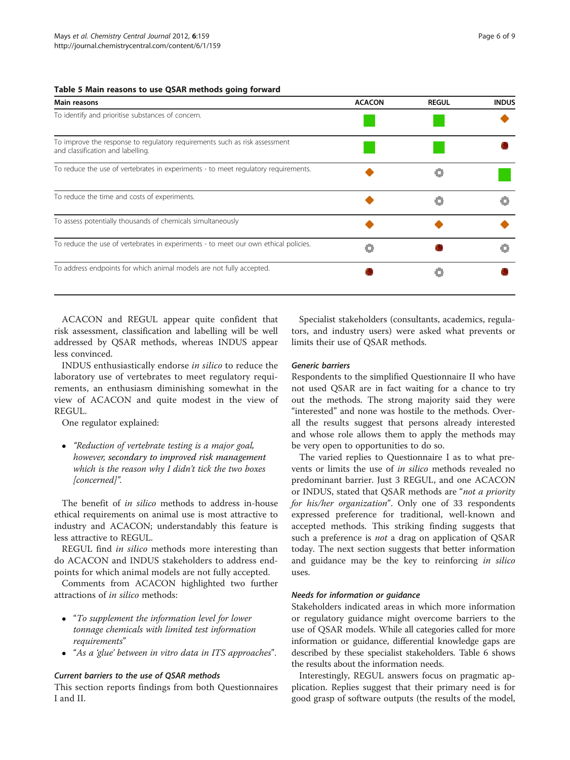<span id="page-5-0"></span>

|  |  |  | Table 5 Main reasons to use QSAR methods going forward |  |  |  |  |  |
|--|--|--|--------------------------------------------------------|--|--|--|--|--|
|--|--|--|--------------------------------------------------------|--|--|--|--|--|

| <b>ACACON</b> | <b>REGUL</b> | <b>INDUS</b> |
|---------------|--------------|--------------|
|               |              |              |
|               |              |              |
|               |              |              |
|               |              |              |
|               |              |              |
|               |              |              |
|               |              |              |
|               |              |              |

ACACON and REGUL appear quite confident that risk assessment, classification and labelling will be well addressed by QSAR methods, whereas INDUS appear less convinced.

INDUS enthusiastically endorse in silico to reduce the laboratory use of vertebrates to meet regulatory requirements, an enthusiasm diminishing somewhat in the view of ACACON and quite modest in the view of REGUL.

One regulator explained:

• "Reduction of vertebrate testing is a major goal, however, secondary to improved risk management which is the reason why I didn't tick the two boxes [concerned]".

The benefit of in silico methods to address in-house ethical requirements on animal use is most attractive to industry and ACACON; understandably this feature is less attractive to REGUL.

REGUL find in silico methods more interesting than do ACACON and INDUS stakeholders to address endpoints for which animal models are not fully accepted.

Comments from ACACON highlighted two further attractions of in silico methods:

- "To supplement the information level for lower tonnage chemicals with limited test information requirements"
- "As a 'glue' between in vitro data in ITS approaches".

# Current barriers to the use of QSAR methods

This section reports findings from both Questionnaires I and II.

Specialist stakeholders (consultants, academics, regulators, and industry users) were asked what prevents or limits their use of QSAR methods.

#### Generic barriers

Respondents to the simplified Questionnaire II who have not used QSAR are in fact waiting for a chance to try out the methods. The strong majority said they were "interested" and none was hostile to the methods. Overall the results suggest that persons already interested and whose role allows them to apply the methods may be very open to opportunities to do so.

The varied replies to Questionnaire I as to what prevents or limits the use of in silico methods revealed no predominant barrier. Just 3 REGUL, and one ACACON or INDUS, stated that QSAR methods are "not a priority for his/her organization". Only one of 33 respondents expressed preference for traditional, well-known and accepted methods. This striking finding suggests that such a preference is *not* a drag on application of QSAR today. The next section suggests that better information and guidance may be the key to reinforcing in silico uses.

# Needs for information or guidance

Stakeholders indicated areas in which more information or regulatory guidance might overcome barriers to the use of QSAR models. While all categories called for more information or guidance, differential knowledge gaps are described by these specialist stakeholders. Table [6](#page-6-0) shows the results about the information needs.

Interestingly, REGUL answers focus on pragmatic application. Replies suggest that their primary need is for good grasp of software outputs (the results of the model,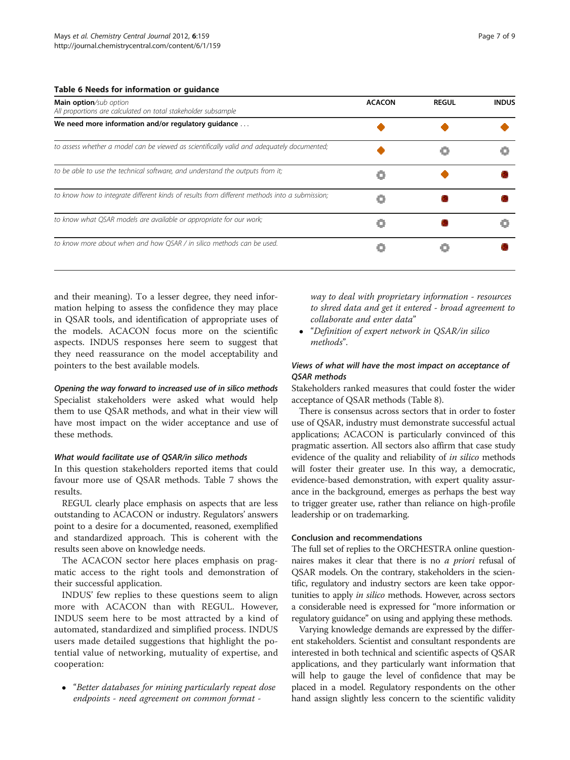#### <span id="page-6-0"></span>Table 6 Needs for information or guidance

| Main option/sub option<br>All proportions are calculated on total stakeholder subsample       | <b>ACACON</b> | <b>REGUL</b> | <b>INDUS</b> |
|-----------------------------------------------------------------------------------------------|---------------|--------------|--------------|
| We need more information and/or regulatory guidance                                           |               |              |              |
| to assess whether a model can be viewed as scientifically valid and adequately documented;    |               |              |              |
| to be able to use the technical software, and understand the outputs from it;                 |               |              |              |
| to know how to integrate different kinds of results from different methods into a submission; |               |              |              |
| to know what QSAR models are available or appropriate for our work;                           |               |              |              |
| to know more about when and how QSAR / in silico methods can be used.                         |               |              |              |

and their meaning). To a lesser degree, they need information helping to assess the confidence they may place in QSAR tools, and identification of appropriate uses of the models. ACACON focus more on the scientific aspects. INDUS responses here seem to suggest that they need reassurance on the model acceptability and pointers to the best available models.

# Opening the way forward to increased use of in silico methods

Specialist stakeholders were asked what would help them to use QSAR methods, and what in their view will have most impact on the wider acceptance and use of these methods.

# What would facilitate use of QSAR/in silico methods

In this question stakeholders reported items that could favour more use of QSAR methods. Table [7](#page-7-0) shows the results.

REGUL clearly place emphasis on aspects that are less outstanding to ACACON or industry. Regulators' answers point to a desire for a documented, reasoned, exemplified and standardized approach. This is coherent with the results seen above on knowledge needs.

The ACACON sector here places emphasis on pragmatic access to the right tools and demonstration of their successful application.

INDUS' few replies to these questions seem to align more with ACACON than with REGUL. However, INDUS seem here to be most attracted by a kind of automated, standardized and simplified process. INDUS users made detailed suggestions that highlight the potential value of networking, mutuality of expertise, and cooperation:

 "Better databases for mining particularly repeat dose endpoints - need agreement on common format -

way to deal with proprietary information - resources to shred data and get it entered - broad agreement to collaborate and enter data"

 "Definition of expert network in QSAR/in silico methods".

# Views of what will have the most impact on acceptance of QSAR methods

Stakeholders ranked measures that could foster the wider acceptance of QSAR methods (Table [8\)](#page-7-0).

There is consensus across sectors that in order to foster use of QSAR, industry must demonstrate successful actual applications; ACACON is particularly convinced of this pragmatic assertion. All sectors also affirm that case study evidence of the quality and reliability of in silico methods will foster their greater use. In this way, a democratic, evidence-based demonstration, with expert quality assurance in the background, emerges as perhaps the best way to trigger greater use, rather than reliance on high-profile leadership or on trademarking.

# Conclusion and recommendations

The full set of replies to the ORCHESTRA online questionnaires makes it clear that there is no *a priori* refusal of QSAR models. On the contrary, stakeholders in the scientific, regulatory and industry sectors are keen take opportunities to apply in silico methods. However, across sectors a considerable need is expressed for "more information or regulatory guidance" on using and applying these methods.

Varying knowledge demands are expressed by the different stakeholders. Scientist and consultant respondents are interested in both technical and scientific aspects of QSAR applications, and they particularly want information that will help to gauge the level of confidence that may be placed in a model. Regulatory respondents on the other hand assign slightly less concern to the scientific validity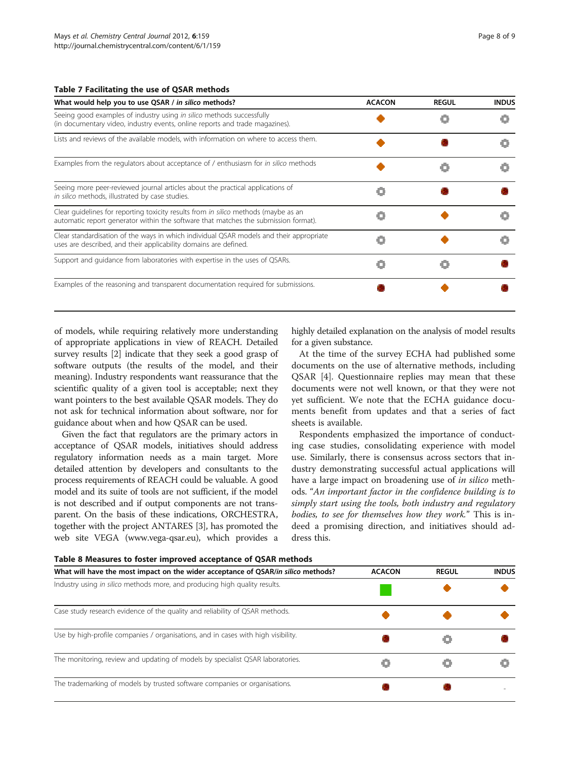#### <span id="page-7-0"></span>Table 7 Facilitating the use of QSAR methods

| What would help you to use QSAR / in silico methods?                                                                                                                       | <b>ACACON</b> | <b>REGUL</b> | <b>INDUS</b> |
|----------------------------------------------------------------------------------------------------------------------------------------------------------------------------|---------------|--------------|--------------|
| Seeing good examples of industry using in silico methods successfully<br>(in documentary video, industry events, online reports and trade magazines).                      |               |              |              |
| Lists and reviews of the available models, with information on where to access them.                                                                                       |               |              |              |
| Examples from the regulators about acceptance of / enthusiasm for in silico methods                                                                                        |               |              |              |
| Seeing more peer-reviewed journal articles about the practical applications of<br>in silico methods, illustrated by case studies.                                          |               |              |              |
| Clear quidelines for reporting toxicity results from in silico methods (maybe as an<br>automatic report generator within the software that matches the submission format). |               |              |              |
| Clear standardisation of the ways in which individual QSAR models and their appropriate<br>uses are described, and their applicability domains are defined.                |               |              |              |
| Support and quidance from laboratories with expertise in the uses of QSARs.                                                                                                |               |              |              |
| Examples of the reasoning and transparent documentation required for submissions.                                                                                          |               |              |              |

of models, while requiring relatively more understanding of appropriate applications in view of REACH. Detailed survey results [\[2\]](#page-8-0) indicate that they seek a good grasp of software outputs (the results of the model, and their meaning). Industry respondents want reassurance that the scientific quality of a given tool is acceptable; next they want pointers to the best available QSAR models. They do not ask for technical information about software, nor for guidance about when and how QSAR can be used.

Given the fact that regulators are the primary actors in acceptance of QSAR models, initiatives should address regulatory information needs as a main target. More detailed attention by developers and consultants to the process requirements of REACH could be valuable. A good model and its suite of tools are not sufficient, if the model is not described and if output components are not transparent. On the basis of these indications, ORCHESTRA, together with the project ANTARES [\[3](#page-8-0)], has promoted the web site VEGA ([www.vega-qsar.eu\)](http://www.vega-qsar.eu), which provides a

highly detailed explanation on the analysis of model results for a given substance.

At the time of the survey ECHA had published some documents on the use of alternative methods, including QSAR [\[4](#page-8-0)]. Questionnaire replies may mean that these documents were not well known, or that they were not yet sufficient. We note that the ECHA guidance documents benefit from updates and that a series of fact sheets is available.

Respondents emphasized the importance of conducting case studies, consolidating experience with model use. Similarly, there is consensus across sectors that industry demonstrating successful actual applications will have a large impact on broadening use of *in silico* methods. "An important factor in the confidence building is to simply start using the tools, both industry and regulatory bodies, to see for themselves how they work." This is indeed a promising direction, and initiatives should address this.

| Table 8 Measures to foster improved acceptance of QSAR methods |  |  |  |
|----------------------------------------------------------------|--|--|--|
|----------------------------------------------------------------|--|--|--|

| What will have the most impact on the wider acceptance of QSAR/in silico methods? | <b>ACACON</b> | <b>REGUL</b> | <b>INDUS</b> |
|-----------------------------------------------------------------------------------|---------------|--------------|--------------|
| Industry using in silico methods more, and producing high quality results.        |               |              |              |
| Case study research evidence of the quality and reliability of QSAR methods.      |               |              |              |
| Use by high-profile companies / organisations, and in cases with high visibility. |               |              |              |
| The monitoring, review and updating of models by specialist QSAR laboratories.    |               |              |              |
| The trademarking of models by trusted software companies or organisations.        |               |              |              |